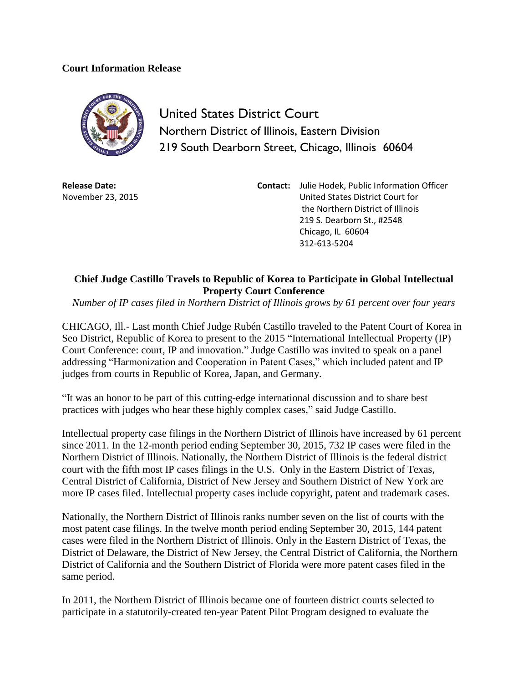## **Court Information Release**



United States District Court Northern District of Illinois, Eastern Division 219 South Dearborn Street, Chicago, Illinois 60604

**Release Date:** November 23, 2015 **Contact:** Julie Hodek, Public Information Officer United States District Court for the Northern District of Illinois 219 S. Dearborn St., #2548 Chicago, IL 60604 312-613-5204

## **Chief Judge Castillo Travels to Republic of Korea to Participate in Global Intellectual Property Court Conference**

*Number of IP cases filed in Northern District of Illinois grows by 61 percent over four years*

CHICAGO, Ill.- Last month Chief Judge Rubén Castillo traveled to the Patent Court of Korea in Seo District, Republic of Korea to present to the 2015 "International Intellectual Property (IP) Court Conference: court, IP and innovation." Judge Castillo was invited to speak on a panel addressing "Harmonization and Cooperation in Patent Cases," which included patent and IP judges from courts in Republic of Korea, Japan, and Germany.

"It was an honor to be part of this cutting-edge international discussion and to share best practices with judges who hear these highly complex cases," said Judge Castillo.

Intellectual property case filings in the Northern District of Illinois have increased by 61 percent since 2011. In the 12-month period ending September 30, 2015, 732 IP cases were filed in the Northern District of Illinois. Nationally, the Northern District of Illinois is the federal district court with the fifth most IP cases filings in the U.S. Only in the Eastern District of Texas, Central District of California, District of New Jersey and Southern District of New York are more IP cases filed. Intellectual property cases include copyright, patent and trademark cases.

Nationally, the Northern District of Illinois ranks number seven on the list of courts with the most patent case filings. In the twelve month period ending September 30, 2015, 144 patent cases were filed in the Northern District of Illinois. Only in the Eastern District of Texas, the District of Delaware, the District of New Jersey, the Central District of California, the Northern District of California and the Southern District of Florida were more patent cases filed in the same period.

In 2011, the Northern District of Illinois became one of fourteen district courts selected to participate in a statutorily-created ten-year Patent Pilot Program designed to evaluate the